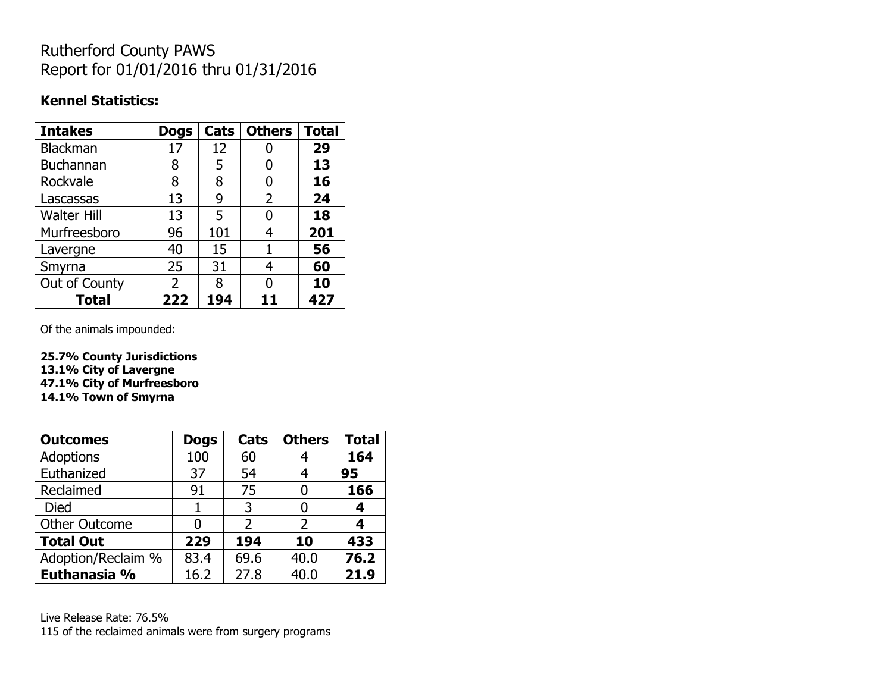## Rutherford County PAWS Report for 01/01/2016 thru 01/31/2016

### **Kennel Statistics:**

| <b>Intakes</b>     | <b>Dogs</b>    | Cats | <b>Others</b>  | <b>Total</b> |
|--------------------|----------------|------|----------------|--------------|
| Blackman           | 17             | 12   |                | 29           |
| Buchannan          | 8              | 5    | 0              | 13           |
| Rockvale           | 8              | 8    | 0              | 16           |
| Lascassas          | 13             | 9    | $\overline{2}$ | 24           |
| <b>Walter Hill</b> | 13             | 5    | 0              | 18           |
| Murfreesboro       | 96             | 101  | 4              | 201          |
| Lavergne           | 40             | 15   | 1              | 56           |
| Smyrna             | 25             | 31   | 4              | 60           |
| Out of County      | $\overline{2}$ | 8    |                | 10           |
| Total              | 222            | 194  |                | 427          |

Of the animals impounded:

**25.7% County Jurisdictions 13.1% City of Lavergne 47.1% City of Murfreesboro 14.1% Town of Smyrna**

| <b>Outcomes</b>      | <b>Dogs</b> | <b>Cats</b> | <b>Others</b> | <b>Total</b> |
|----------------------|-------------|-------------|---------------|--------------|
| <b>Adoptions</b>     | 100         | 60          |               | 164          |
| Euthanized           | 37          | 54          |               | 95           |
| Reclaimed            | 91          | 75          |               | 166          |
| Died                 |             | 3           |               | 4            |
| <b>Other Outcome</b> | N           | 2           | 2             | 4            |
| <b>Total Out</b>     | 229         | 194         | 10            | 433          |
| Adoption/Reclaim %   | 83.4        | 69.6        | 40.0          | 76.2         |
| Euthanasia %         | 16.2        | 27.8        | 40.0          | 21.9         |

Live Release Rate: 76.5% 115 of the reclaimed animals were from surgery programs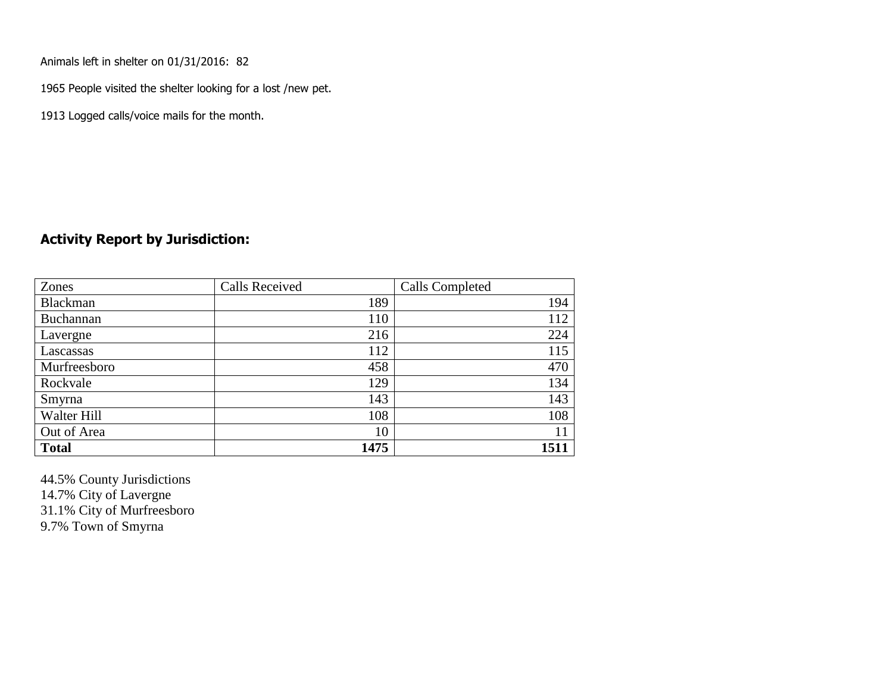Animals left in shelter on 01/31/2016: 82

1965 People visited the shelter looking for a lost /new pet.

1913 Logged calls/voice mails for the month.

#### **Activity Report by Jurisdiction:**

| Zones           | <b>Calls Received</b> | Calls Completed |
|-----------------|-----------------------|-----------------|
| <b>Blackman</b> | 189                   | 194             |
| Buchannan       | 110                   | 112             |
| Lavergne        | 216                   | 224             |
| Lascassas       | 112                   | 115             |
| Murfreesboro    | 458                   | 470             |
| Rockvale        | 129                   | 134             |
| Smyrna          | 143                   | 143             |
| Walter Hill     | 108                   | 108             |
| Out of Area     | 10                    |                 |
| <b>Total</b>    | 1475                  | 1511            |

44.5% County Jurisdictions 14.7% City of Lavergne 31.1% City of Murfreesboro 9.7% Town of Smyrna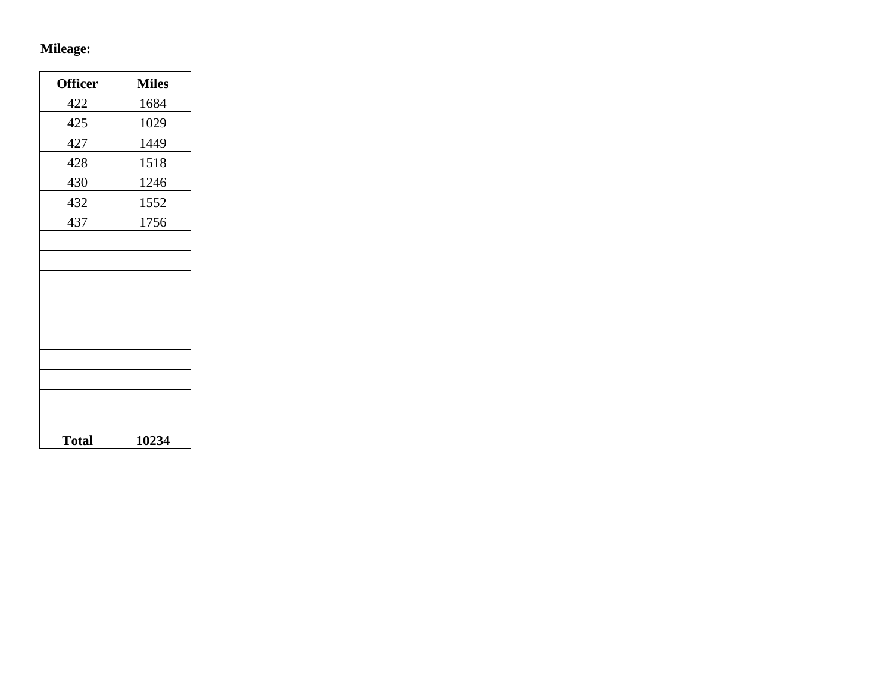# **Mileage:**

| <b>Officer</b> | <b>Miles</b> |
|----------------|--------------|
| 422            | 1684         |
| 425            | 1029         |
| 427            | 1449         |
| 428            | 1518         |
| 430            | 1246         |
| 432            | 1552         |
| 437            | 1756         |
|                |              |
|                |              |
|                |              |
|                |              |
|                |              |
|                |              |
|                |              |
|                |              |
|                |              |
|                |              |
| <b>Total</b>   | 10234        |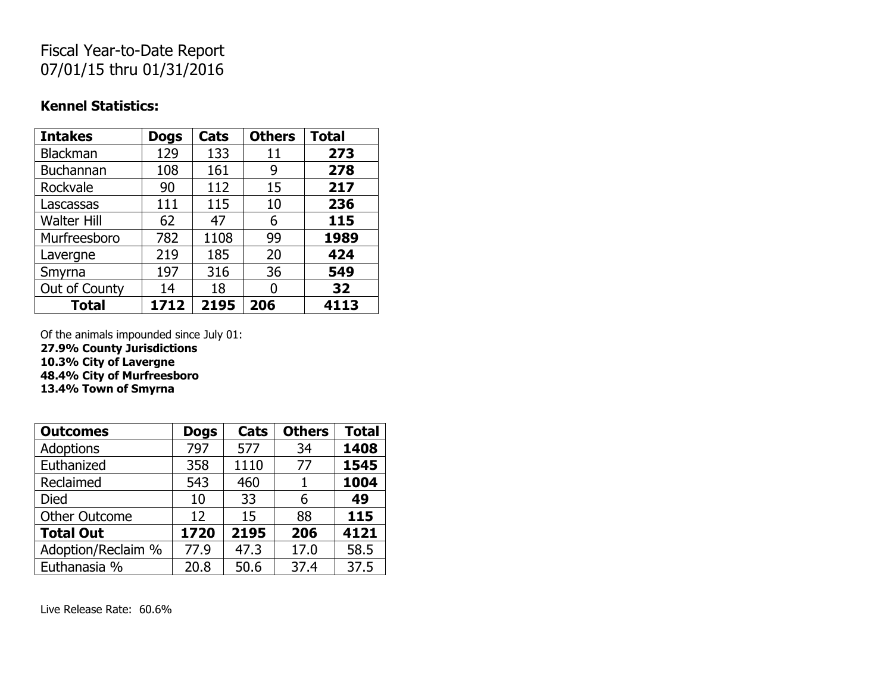## Fiscal Year-to-Date Report 07/01/15 thru 01/31/2016

### **Kennel Statistics:**

| <b>Intakes</b>     | <b>Dogs</b> | Cats | <b>Others</b> | <b>Total</b> |
|--------------------|-------------|------|---------------|--------------|
| Blackman           | 129         | 133  | 11            | 273          |
| Buchannan          | 108         | 161  | 9             | 278          |
| Rockvale           | 90          | 112  | 15            | 217          |
| Lascassas          | 111         | 115  | 10            | 236          |
| <b>Walter Hill</b> | 62          | 47   | 6             | 115          |
| Murfreesboro       | 782         | 1108 | 99            | 1989         |
| Lavergne           | 219         | 185  | 20            | 424          |
| Smyrna             | 197         | 316  | 36            | 549          |
| Out of County      | 14          | 18   |               | 32           |
| <b>Total</b>       | 1712        | 2195 | 206           | 4113         |

Of the animals impounded since July 01: **27.9% County Jurisdictions**

**10.3% City of Lavergne**

**48.4% City of Murfreesboro**

**13.4% Town of Smyrna**

| <b>Outcomes</b>      | <b>Dogs</b> | Cats | <b>Others</b> | <b>Total</b> |
|----------------------|-------------|------|---------------|--------------|
| <b>Adoptions</b>     | 797         | 577  | 34            | 1408         |
| Euthanized           | 358         | 1110 | 77            | 1545         |
| Reclaimed            | 543         | 460  | 1             | 1004         |
| <b>Died</b>          | 10          | 33   | 6             | 49           |
| <b>Other Outcome</b> | 12          | 15   | 88            | 115          |
| <b>Total Out</b>     | 1720        | 2195 | 206           | 4121         |
| Adoption/Reclaim %   | 77.9        | 47.3 | 17.0          | 58.5         |
| Euthanasia %         | 20.8        | 50.6 | 37.4          | 37.5         |

Live Release Rate: 60.6%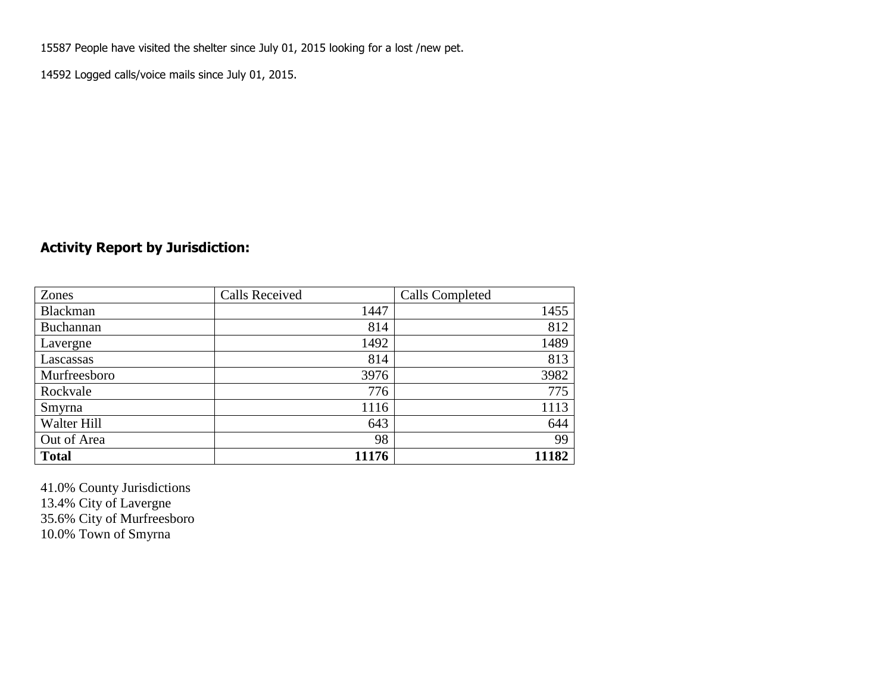15587 People have visited the shelter since July 01, 2015 looking for a lost /new pet.

14592 Logged calls/voice mails since July 01, 2015.

### **Activity Report by Jurisdiction:**

| Zones           | <b>Calls Received</b> | Calls Completed |
|-----------------|-----------------------|-----------------|
| <b>Blackman</b> | 1447                  | 1455            |
| Buchannan       | 814                   | 812             |
| Lavergne        | 1492                  | 1489            |
| Lascassas       | 814                   | 813             |
| Murfreesboro    | 3976                  | 3982            |
| Rockvale        | 776                   | 775             |
| Smyrna          | 1116                  | 1113            |
| Walter Hill     | 643                   | 644             |
| Out of Area     | 98                    | 99              |
| <b>Total</b>    | 11176                 | 11182           |

41.0% County Jurisdictions 13.4% City of Lavergne 35.6% City of Murfreesboro 10.0% Town of Smyrna